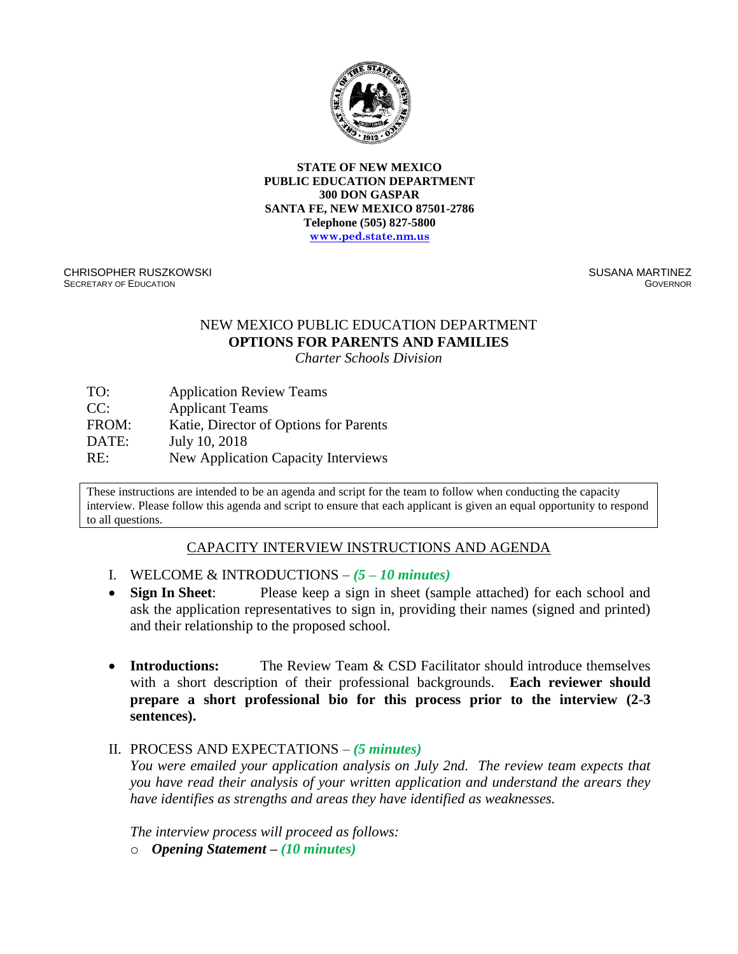

**STATE OF NEW MEXICO PUBLIC EDUCATION DEPARTMENT 300 DON GASPAR SANTA FE, NEW MEXICO 87501-2786 Telephone (505) 827-5800 [www.ped.state.nm.us](http://www.sde.state.nm.us/)**

CHRISOPHER RUSZKOWSKI SECRETARY OF EDUCATION

SUSANA MARTINEZ GOVERNOR

# NEW MEXICO PUBLIC EDUCATION DEPARTMENT **OPTIONS FOR PARENTS AND FAMILIES**

*Charter Schools Division*

TO:  $\sum_{n=1}^{\infty}$ CC: Application Review Teams Applicant Teams FROM: Katie, Director of Options for Parents DATE: July 10, 2018 RE: New Application Capacity Interviews

These instructions are intended to be an agenda and script for the team to follow when conducting the capacity interview. Please follow this agenda and script to ensure that each applicant is given an equal opportunity to respond to all questions.

# CAPACITY INTERVIEW INSTRUCTIONS AND AGENDA

- I. WELCOME & INTRODUCTIONS *(5 – 10 minutes)*
- **Sign In Sheet**: Please keep a sign in sheet (sample attached) for each school and ask the application representatives to sign in, providing their names (signed and printed) and their relationship to the proposed school.
- **Introductions:** The Review Team & CSD Facilitator should introduce themselves with a short description of their professional backgrounds. **Each reviewer should prepare a short professional bio for this process prior to the interview (2-3 sentences).**

# II. PROCESS AND EXPECTATIONS – *(5 minutes)*

*You were emailed your application analysis on July 2nd. The review team expects that you have read their analysis of your written application and understand the arears they have identifies as strengths and areas they have identified as weaknesses.* 

*The interview process will proceed as follows:* o *Opening Statement – (10 minutes)*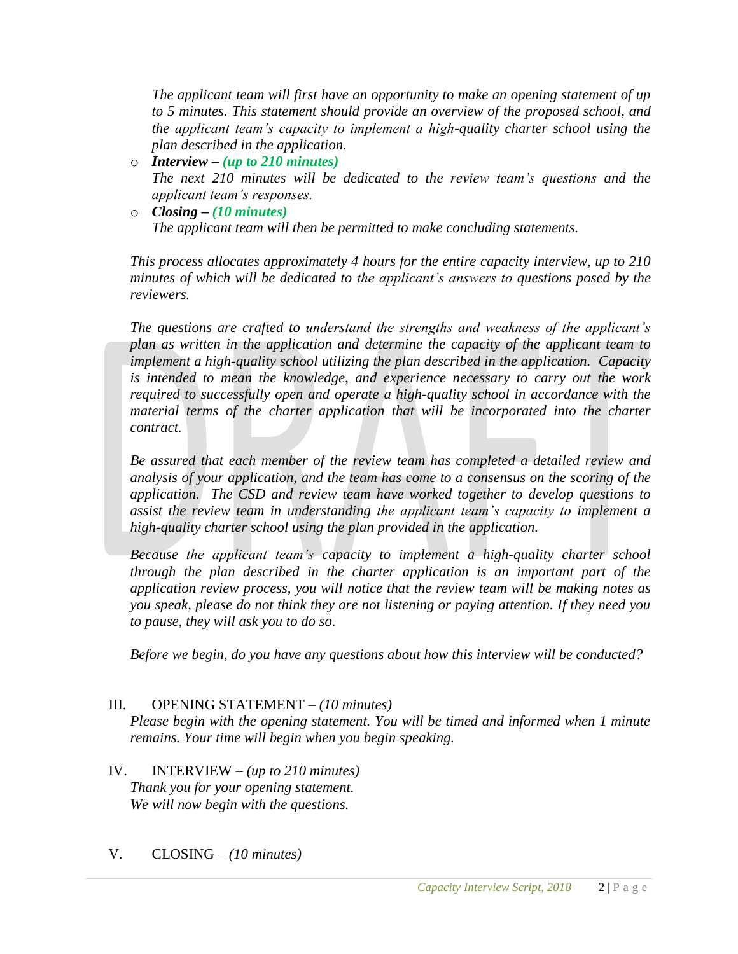*The applicant team will first have an opportunity to make an opening statement of up to 5 minutes. This statement should provide an overview of the proposed school, and the applicant team's capacity to implement a high-quality charter school using the plan described in the application.*

- o *Interview – (up to 210 minutes) The next 210 minutes will be dedicated to the review team's questions and the applicant team's responses.*
- o *Closing – (10 minutes) The applicant team will then be permitted to make concluding statements.*

*This process allocates approximately 4 hours for the entire capacity interview, up to 210 minutes of which will be dedicated to the applicant's answers to questions posed by the reviewers.* 

*The questions are crafted to understand the strengths and weakness of the applicant's plan as written in the application and determine the capacity of the applicant team to implement a high-quality school utilizing the plan described in the application. Capacity is intended to mean the knowledge, and experience necessary to carry out the work required to successfully open and operate a high-quality school in accordance with the material terms of the charter application that will be incorporated into the charter contract.*

*Be assured that each member of the review team has completed a detailed review and analysis of your application, and the team has come to a consensus on the scoring of the application. The CSD and review team have worked together to develop questions to assist the review team in understanding the applicant team's capacity to implement a high-quality charter school using the plan provided in the application.* 

*Because the applicant team's capacity to implement a high-quality charter school through the plan described in the charter application is an important part of the application review process, you will notice that the review team will be making notes as you speak, please do not think they are not listening or paying attention. If they need you to pause, they will ask you to do so.* 

*Before we begin, do you have any questions about how this interview will be conducted?*

# III. OPENING STATEMENT – *(10 minutes)*

*Please begin with the opening statement. You will be timed and informed when 1 minute remains. Your time will begin when you begin speaking.*

- IV. INTERVIEW *(up to 210 minutes) Thank you for your opening statement. We will now begin with the questions.*
- V. CLOSING *(10 minutes)*